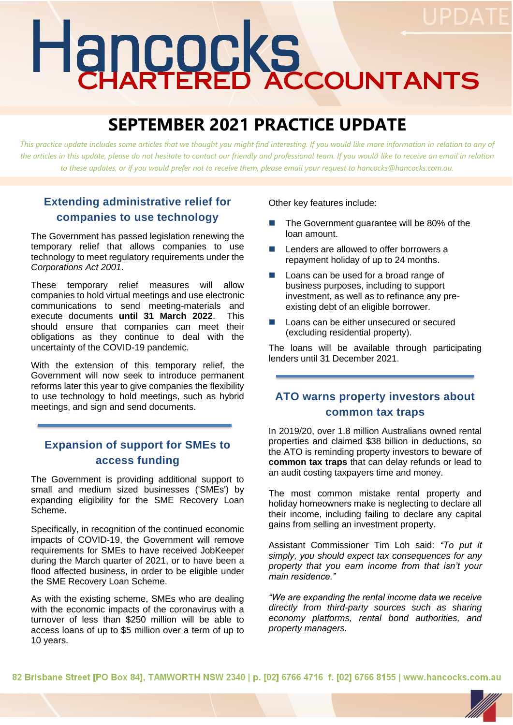# Hancocks

# **SEPTEMBER 2021 PRACTICE UPDATE**

*This practice update includes some articles that we thought you might find interesting. If you would like more information in relation to any of the articles in this update, please do not hesitate to contact our friendly and professional team. If you would like to receive an email in relation to these updates, or if you would prefer not to receive them, please email your request to hancocks@hancocks.com.au.* 

## **Extending administrative relief for companies to use technology**

The Government has passed legislation renewing the temporary relief that allows companies to use technology to meet regulatory requirements under the *Corporations Act 2001*.

These temporary relief measures will allow companies to hold virtual meetings and use electronic communications to send meeting-materials and execute documents **until 31 March 2022**. This should ensure that companies can meet their obligations as they continue to deal with the uncertainty of the COVID-19 pandemic.

With the extension of this temporary relief, the Government will now seek to introduce permanent reforms later this year to give companies the flexibility to use technology to hold meetings, such as hybrid meetings, and sign and send documents.

### **Expansion of support for SMEs to access funding**

The Government is providing additional support to small and medium sized businesses ('SMEs') by expanding eligibility for the SME Recovery Loan Scheme.

Specifically, in recognition of the continued economic impacts of COVID-19, the Government will remove requirements for SMEs to have received JobKeeper during the March quarter of 2021, or to have been a flood affected business, in order to be eligible under the SME Recovery Loan Scheme.

As with the existing scheme, SMEs who are dealing with the economic impacts of the coronavirus with a turnover of less than \$250 million will be able to access loans of up to \$5 million over a term of up to 10 years.

Other key features include:

- The Government quarantee will be 80% of the loan amount.
- Lenders are allowed to offer borrowers a repayment holiday of up to 24 months.
- Loans can be used for a broad range of business purposes, including to support investment, as well as to refinance any preexisting debt of an eligible borrower.
- Loans can be either unsecured or secured (excluding residential property).

The loans will be available through participating lenders until 31 December 2021.

#### **ATO warns property investors about common tax traps**

In 2019/20, over 1.8 million Australians owned rental properties and claimed \$38 billion in deductions, so the ATO is reminding property investors to beware of **common tax traps** that can delay refunds or lead to an audit costing taxpayers time and money.

The most common mistake rental property and holiday homeowners make is neglecting to declare all their income, including failing to declare any capital gains from selling an investment property.

Assistant Commissioner Tim Loh said: *"To put it simply, you should expect tax consequences for any property that you earn income from that isn't your main residence."*

*"We are expanding the rental income data we receive directly from third-party sources such as sharing economy platforms, rental bond authorities, and property managers.* 

82 Brisbane Street [PO Box 84], TAMWORTH NSW 2340 | p. [02] 6766 4716 f. [02] 6766 8155 | www.hancocks.com.au